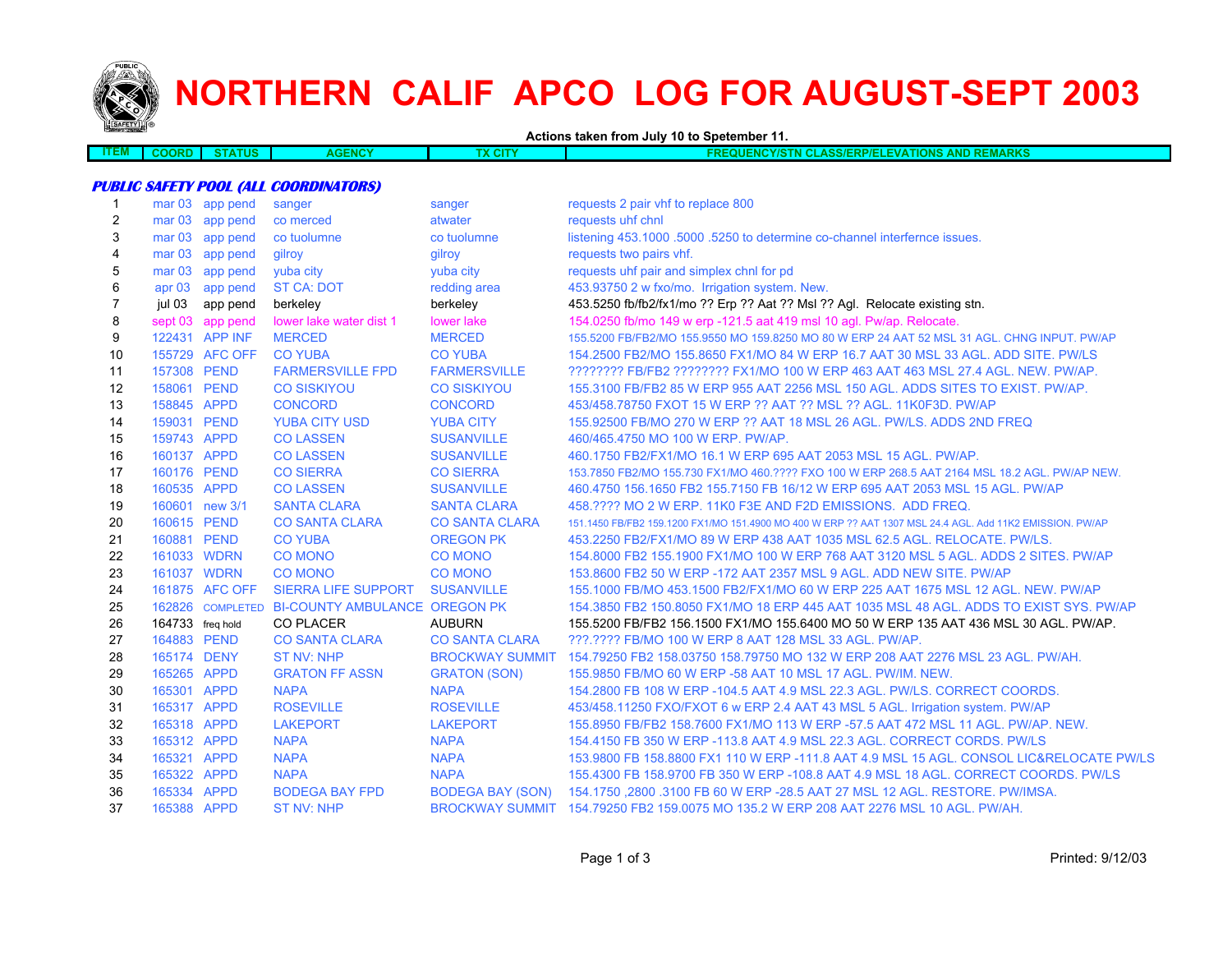

# **NORTHERN CALIF APCO LOG FOR AUGUST-SEPT 2003**

**Actions taken from July 10 to Spetember 11.**

| <b>ITEM</b><br><b>JENC</b><br>CITY<br><b>TIONS AND</b><br><b>DUENCY/STN</b><br>.<br>--------<br>חאנ<br>84RN.<br><b>JULASSIERPIE</b><br><br>NU NE |  |  |  |
|--------------------------------------------------------------------------------------------------------------------------------------------------|--|--|--|
|                                                                                                                                                  |  |  |  |

## **PUBLIC SAFETY POOL (ALL COORDINATORS)**

|                   |          | sanger                                                                                                                                                                                                                                                                                                                                                                                                                                                                                                          | sanger                                                                                                                                                                                                                                                                                                                                             | requests 2 pair vhf to replace 800                                                                       |
|-------------------|----------|-----------------------------------------------------------------------------------------------------------------------------------------------------------------------------------------------------------------------------------------------------------------------------------------------------------------------------------------------------------------------------------------------------------------------------------------------------------------------------------------------------------------|----------------------------------------------------------------------------------------------------------------------------------------------------------------------------------------------------------------------------------------------------------------------------------------------------------------------------------------------------|----------------------------------------------------------------------------------------------------------|
|                   |          |                                                                                                                                                                                                                                                                                                                                                                                                                                                                                                                 | atwater                                                                                                                                                                                                                                                                                                                                            | requests uhf chnl                                                                                        |
| mar <sub>03</sub> | app pend |                                                                                                                                                                                                                                                                                                                                                                                                                                                                                                                 | co tuolumne                                                                                                                                                                                                                                                                                                                                        | listening 453.1000 .5000 .5250 to determine co-channel interfernce issues.                               |
| mar <sub>03</sub> | app pend |                                                                                                                                                                                                                                                                                                                                                                                                                                                                                                                 | gilroy                                                                                                                                                                                                                                                                                                                                             | requests two pairs vhf.                                                                                  |
| mar <sub>03</sub> | app pend |                                                                                                                                                                                                                                                                                                                                                                                                                                                                                                                 | yuba city                                                                                                                                                                                                                                                                                                                                          | requests uhf pair and simplex chnl for pd                                                                |
| apr <sub>03</sub> | app pend |                                                                                                                                                                                                                                                                                                                                                                                                                                                                                                                 | redding area                                                                                                                                                                                                                                                                                                                                       | 453.93750 2 w fxo/mo. Irrigation system. New.                                                            |
| jul 03            |          | berkeley                                                                                                                                                                                                                                                                                                                                                                                                                                                                                                        | berkeley                                                                                                                                                                                                                                                                                                                                           | 453.5250 fb/fb2/fx1/mo ?? Erp ?? Aat ?? Msl ?? Agl. Relocate existing stn.                               |
| sept 03           |          |                                                                                                                                                                                                                                                                                                                                                                                                                                                                                                                 | lower lake                                                                                                                                                                                                                                                                                                                                         | 154.0250 fb/mo 149 w erp -121.5 aat 419 msl 10 agl. Pw/ap. Relocate.                                     |
|                   |          |                                                                                                                                                                                                                                                                                                                                                                                                                                                                                                                 | <b>MERCED</b>                                                                                                                                                                                                                                                                                                                                      | 155.5200 FB/FB2/MO 155.9550 MO 159.8250 MO 80 W ERP 24 AAT 52 MSL 31 AGL. CHNG INPUT. PW/AP              |
|                   |          |                                                                                                                                                                                                                                                                                                                                                                                                                                                                                                                 | <b>CO YUBA</b>                                                                                                                                                                                                                                                                                                                                     | 154,2500 FB2/MO 155,8650 FX1/MO 84 W ERP 16.7 AAT 30 MSL 33 AGL, ADD SITE, PW/LS                         |
|                   |          |                                                                                                                                                                                                                                                                                                                                                                                                                                                                                                                 | <b>FARMERSVILLE</b>                                                                                                                                                                                                                                                                                                                                | ???????? FB/FB2 ???????? FX1/MO 100 W ERP 463 AAT 463 MSL 27.4 AGL. NEW. PW/AP.                          |
|                   |          |                                                                                                                                                                                                                                                                                                                                                                                                                                                                                                                 | <b>CO SISKIYOU</b>                                                                                                                                                                                                                                                                                                                                 | 155,3100 FB/FB2 85 W ERP 955 AAT 2256 MSL 150 AGL, ADDS SITES TO EXIST, PW/AP.                           |
|                   |          |                                                                                                                                                                                                                                                                                                                                                                                                                                                                                                                 | <b>CONCORD</b>                                                                                                                                                                                                                                                                                                                                     | 453/458.78750 FXOT 15 W ERP ?? AAT ?? MSL ?? AGL, 11K0F3D, PW/AP                                         |
|                   |          |                                                                                                                                                                                                                                                                                                                                                                                                                                                                                                                 | <b>YUBA CITY</b>                                                                                                                                                                                                                                                                                                                                   | 155,92500 FB/MO 270 W ERP ?? AAT 18 MSL 26 AGL, PW/LS, ADDS 2ND FREQ                                     |
|                   |          | <b>CO LASSEN</b>                                                                                                                                                                                                                                                                                                                                                                                                                                                                                                | <b>SUSANVILLE</b>                                                                                                                                                                                                                                                                                                                                  | 460/465.4750 MO 100 W ERP. PW/AP.                                                                        |
|                   |          | <b>CO LASSEN</b>                                                                                                                                                                                                                                                                                                                                                                                                                                                                                                | <b>SUSANVILLE</b>                                                                                                                                                                                                                                                                                                                                  | 460.1750 FB2/FX1/MO 16.1 W ERP 695 AAT 2053 MSL 15 AGL. PW/AP.                                           |
|                   |          | <b>CO SIERRA</b>                                                                                                                                                                                                                                                                                                                                                                                                                                                                                                | <b>CO SIERRA</b>                                                                                                                                                                                                                                                                                                                                   | 153.7850 FB2/MO 155.730 FX1/MO 460.???? FXO 100 W ERP 268.5 AAT 2164 MSL 18.2 AGL, PW/AP NEW.            |
|                   |          | <b>CO LASSEN</b>                                                                                                                                                                                                                                                                                                                                                                                                                                                                                                | <b>SUSANVILLE</b>                                                                                                                                                                                                                                                                                                                                  | 460.4750 156.1650 FB2 155.7150 FB 16/12 W ERP 695 AAT 2053 MSL 15 AGL, PW/AP                             |
|                   |          | <b>SANTA CLARA</b>                                                                                                                                                                                                                                                                                                                                                                                                                                                                                              | <b>SANTA CLARA</b>                                                                                                                                                                                                                                                                                                                                 | 458.???? MO 2 W ERP. 11K0 F3E AND F2D EMISSIONS. ADD FREQ.                                               |
|                   |          | <b>CO SANTA CLARA</b>                                                                                                                                                                                                                                                                                                                                                                                                                                                                                           | <b>CO SANTA CLARA</b>                                                                                                                                                                                                                                                                                                                              | 151.1450 FB/FB2 159.1200 FX1/MO 151.4900 MO 400 W ERP ?? AAT 1307 MSL 24.4 AGL, Add 11K2 EMISSION, PW/AP |
|                   |          | <b>CO YUBA</b>                                                                                                                                                                                                                                                                                                                                                                                                                                                                                                  | <b>OREGON PK</b>                                                                                                                                                                                                                                                                                                                                   | 453.2250 FB2/FX1/MO 89 W ERP 438 AAT 1035 MSL 62.5 AGL. RELOCATE. PW/LS.                                 |
|                   |          |                                                                                                                                                                                                                                                                                                                                                                                                                                                                                                                 | <b>CO MONO</b>                                                                                                                                                                                                                                                                                                                                     | 154.8000 FB2 155.1900 FX1/MO 100 W ERP 768 AAT 3120 MSL 5 AGL. ADDS 2 SITES. PW/AP                       |
|                   |          | <b>CO MONO</b>                                                                                                                                                                                                                                                                                                                                                                                                                                                                                                  | <b>CO MONO</b>                                                                                                                                                                                                                                                                                                                                     | 153,8600 FB2 50 W ERP -172 AAT 2357 MSL 9 AGL, ADD NEW SITE, PW/AP                                       |
|                   |          | <b>SIERRA LIFE SUPPORT</b>                                                                                                                                                                                                                                                                                                                                                                                                                                                                                      | <b>SUSANVILLE</b>                                                                                                                                                                                                                                                                                                                                  | 155,1000 FB/MO 453,1500 FB2/FX1/MO 60 W ERP 225 AAT 1675 MSL 12 AGL, NEW, PW/AP                          |
|                   |          |                                                                                                                                                                                                                                                                                                                                                                                                                                                                                                                 |                                                                                                                                                                                                                                                                                                                                                    | 154,3850 FB2 150,8050 FX1/MO 18 ERP 445 AAT 1035 MSL 48 AGL, ADDS TO EXIST SYS, PW/AP                    |
|                   |          | <b>CO PLACER</b>                                                                                                                                                                                                                                                                                                                                                                                                                                                                                                | <b>AUBURN</b>                                                                                                                                                                                                                                                                                                                                      | 155.5200 FB/FB2 156.1500 FX1/MO 155.6400 MO 50 W ERP 135 AAT 436 MSL 30 AGL. PW/AP.                      |
|                   |          | <b>CO SANTA CLARA</b>                                                                                                                                                                                                                                                                                                                                                                                                                                                                                           | <b>CO SANTA CLARA</b>                                                                                                                                                                                                                                                                                                                              | ???.???? FB/MO 100 W ERP 8 AAT 128 MSL 33 AGL, PW/AP.                                                    |
|                   |          | <b>ST NV: NHP</b>                                                                                                                                                                                                                                                                                                                                                                                                                                                                                               |                                                                                                                                                                                                                                                                                                                                                    | BROCKWAY SUMMIT 154.79250 FB2 158.03750 158.79750 MO 132 W ERP 208 AAT 2276 MSL 23 AGL, PW/AH.           |
|                   |          | <b>GRATON FF ASSN</b>                                                                                                                                                                                                                                                                                                                                                                                                                                                                                           | <b>GRATON (SON)</b>                                                                                                                                                                                                                                                                                                                                | 155.9850 FB/MO 60 W ERP -58 AAT 10 MSL 17 AGL. PW/IM. NEW.                                               |
|                   |          |                                                                                                                                                                                                                                                                                                                                                                                                                                                                                                                 | <b>NAPA</b>                                                                                                                                                                                                                                                                                                                                        | 154.2800 FB 108 W ERP -104.5 AAT 4.9 MSL 22.3 AGL. PW/LS. CORRECT COORDS.                                |
|                   |          |                                                                                                                                                                                                                                                                                                                                                                                                                                                                                                                 |                                                                                                                                                                                                                                                                                                                                                    | 453/458.11250 FXO/FXOT 6 w ERP 2.4 AAT 43 MSL 5 AGL. Irrigation system. PW/AP                            |
|                   |          |                                                                                                                                                                                                                                                                                                                                                                                                                                                                                                                 | <b>LAKEPORT</b>                                                                                                                                                                                                                                                                                                                                    | 155,8950 FB/FB2 158,7600 FX1/MO 113 W ERP -57.5 AAT 472 MSL 11 AGL, PW/AP, NEW.                          |
|                   |          |                                                                                                                                                                                                                                                                                                                                                                                                                                                                                                                 | <b>NAPA</b>                                                                                                                                                                                                                                                                                                                                        | 154,4150 FB 350 W ERP -113.8 AAT 4.9 MSL 22.3 AGL, CORRECT CORDS, PW/LS                                  |
|                   |          |                                                                                                                                                                                                                                                                                                                                                                                                                                                                                                                 | <b>NAPA</b>                                                                                                                                                                                                                                                                                                                                        | 153.9800 FB 158.8800 FX1 110 W ERP -111.8 AAT 4.9 MSL 15 AGL. CONSOL LIC&RELOCATE PW/LS                  |
|                   |          |                                                                                                                                                                                                                                                                                                                                                                                                                                                                                                                 | <b>NAPA</b>                                                                                                                                                                                                                                                                                                                                        | 155,4300 FB 158,9700 FB 350 W ERP -108.8 AAT 4.9 MSL 18 AGL, CORRECT COORDS, PW/LS                       |
|                   |          | <b>BODEGA BAY FPD</b>                                                                                                                                                                                                                                                                                                                                                                                                                                                                                           |                                                                                                                                                                                                                                                                                                                                                    | BODEGA BAY (SON) 154.1750, 2800 .3100 FB 60 W ERP -28.5 AAT 27 MSL 12 AGL. RESTORE. PW/IMSA.             |
|                   |          | <b>ST NV: NHP</b>                                                                                                                                                                                                                                                                                                                                                                                                                                                                                               |                                                                                                                                                                                                                                                                                                                                                    | BROCKWAY SUMMIT 154.79250 FB2 159.0075 MO 135.2 W ERP 208 AAT 2276 MSL 10 AGL, PW/AH.                    |
|                   |          | mar 03 app pend<br>mar 03 app pend<br>app pend<br>app pend<br>122431 APP INF<br>155729 AFC OFF<br>157308 PEND<br>158061 PEND<br>158845 APPD<br>159031 PEND<br>159743 APPD<br>160137 APPD<br>160176 PEND<br>160535 APPD<br>160601 new 3/1<br>160615 PEND<br>160881 PEND<br>161033 WDRN<br>161037 WDRN<br>161875 AFC OFF<br>164733 freq hold<br>164883 PEND<br>165174 DENY<br>165265 APPD<br>165301 APPD<br>165317 APPD<br>165318 APPD<br>165312 APPD<br>165321 APPD<br>165322 APPD<br>165334 APPD<br>165388 APPD | co merced<br>co tuolumne<br>gilroy<br>yuba city<br><b>ST CA: DOT</b><br>lower lake water dist 1<br><b>MERCED</b><br><b>CO YUBA</b><br><b>FARMERSVILLE FPD</b><br><b>CO SISKIYOU</b><br><b>CONCORD</b><br><b>YUBA CITY USD</b><br><b>CO MONO</b><br><b>NAPA</b><br><b>ROSEVILLE</b><br><b>LAKEPORT</b><br><b>NAPA</b><br><b>NAPA</b><br><b>NAPA</b> | 162826 COMPLETED BI-COUNTY AMBULANCE OREGON PK<br><b>ROSEVILLE</b>                                       |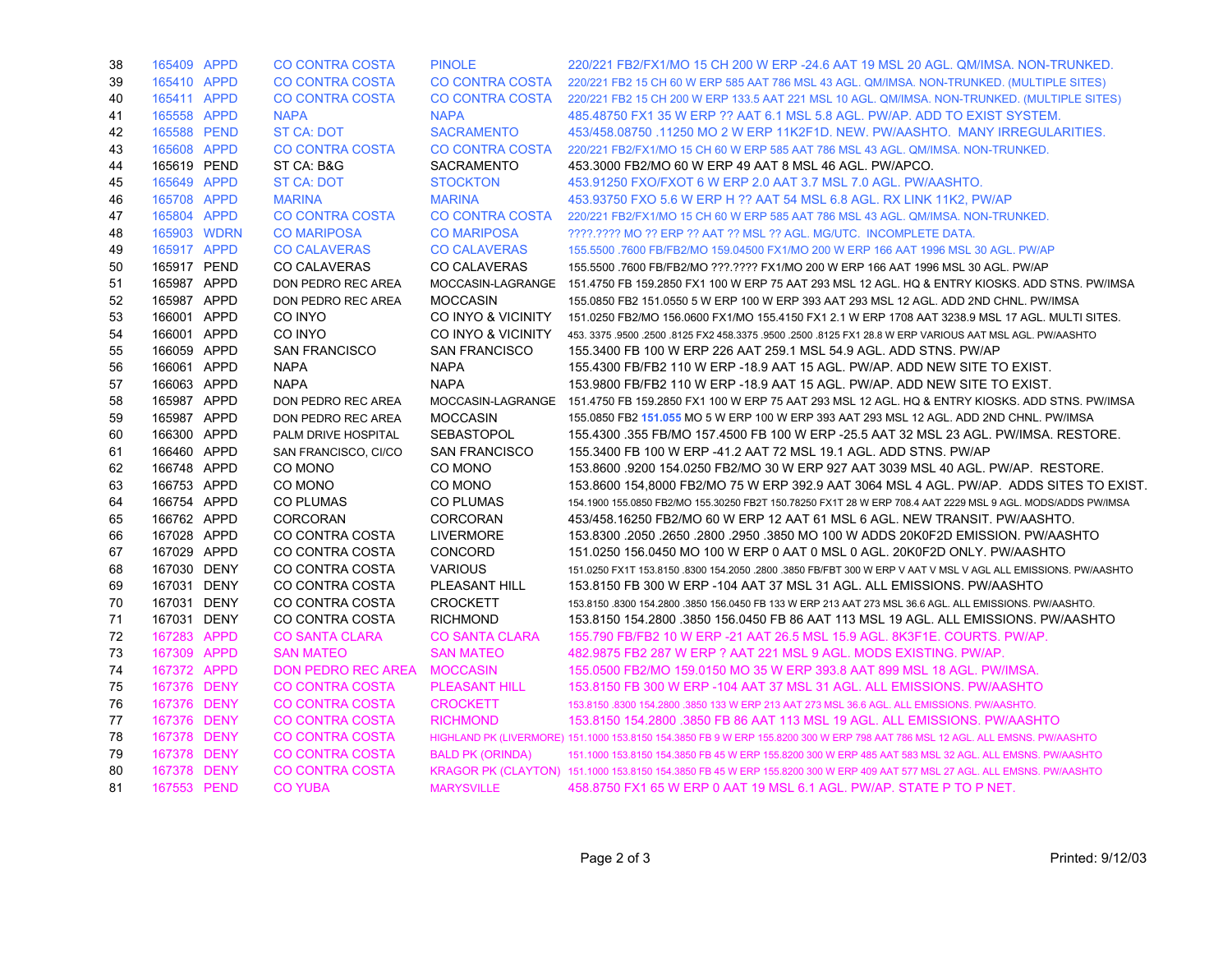| 38 | 165409 APPD | <b>CO CONTRA COSTA</b>      | <b>PINOLE</b>           | 220/221 FB2/FX1/MO 15 CH 200 W ERP -24.6 AAT 19 MSL 20 AGL. QM/IMSA, NON-TRUNKED.                                             |
|----|-------------|-----------------------------|-------------------------|-------------------------------------------------------------------------------------------------------------------------------|
| 39 | 165410 APPD | <b>CO CONTRA COSTA</b>      |                         | CO CONTRA COSTA 220/221 FB2 15 CH 60 W ERP 585 AAT 786 MSL 43 AGL. QM/IMSA, NON-TRUNKED, (MULTIPLE SITES)                     |
| 40 | 165411 APPD | <b>CO CONTRA COSTA</b>      | CO CONTRA COSTA         | 220/221 FB2 15 CH 200 W ERP 133.5 AAT 221 MSL 10 AGL. QM/IMSA. NON-TRUNKED. (MULTIPLE SITES)                                  |
| 41 | 165558 APPD | <b>NAPA</b>                 | <b>NAPA</b>             | 485,48750 FX1 35 W ERP ?? AAT 6.1 MSL 5.8 AGL, PW/AP, ADD TO EXIST SYSTEM.                                                    |
| 42 | 165588 PEND | <b>ST CA: DOT</b>           | <b>SACRAMENTO</b>       | 453/458.08750 .11250 MO 2 W ERP 11K2F1D. NEW. PW/AASHTO. MANY IRREGULARITIES.                                                 |
| 43 | 165608 APPD | <b>CO CONTRA COSTA</b>      | <b>CO CONTRA COSTA</b>  | 220/221 FB2/FX1/MO 15 CH 60 W ERP 585 AAT 786 MSL 43 AGL. QM/IMSA. NON-TRUNKED.                                               |
| 44 | 165619 PEND | ST CA: B&G                  | <b>SACRAMENTO</b>       | 453.3000 FB2/MO 60 W ERP 49 AAT 8 MSL 46 AGL, PW/APCO.                                                                        |
| 45 | 165649 APPD | <b>ST CA: DOT</b>           | <b>STOCKTON</b>         | 453.91250 FXO/FXOT 6 W ERP 2.0 AAT 3.7 MSL 7.0 AGL. PW/AASHTO.                                                                |
| 46 | 165708 APPD | <b>MARINA</b>               | <b>MARINA</b>           | 453.93750 FXO 5.6 W ERP H ?? AAT 54 MSL 6.8 AGL, RX LINK 11K2, PW/AP                                                          |
| 47 | 165804 APPD | <b>CO CONTRA COSTA</b>      | CO CONTRA COSTA         | 220/221 FB2/FX1/MO 15 CH 60 W ERP 585 AAT 786 MSL 43 AGL. QM/IMSA. NON-TRUNKED.                                               |
| 48 | 165903 WDRN | <b>CO MARIPOSA</b>          | <b>CO MARIPOSA</b>      | ????.???? MO ?? ERP ?? AAT ?? MSL ?? AGL. MG/UTC. INCOMPLETE DATA.                                                            |
| 49 | 165917 APPD | <b>CO CALAVERAS</b>         | <b>CO CALAVERAS</b>     | 155.5500 .7600 FB/FB2/MO 159.04500 FX1/MO 200 W ERP 166 AAT 1996 MSL 30 AGL. PW/AP                                            |
| 50 | 165917 PEND | <b>CO CALAVERAS</b>         | <b>CO CALAVERAS</b>     | 155.5500 .7600 FB/FB2/MO ???.???? FX1/MO 200 W ERP 166 AAT 1996 MSL 30 AGL. PW/AP                                             |
| 51 | 165987 APPD | DON PEDRO REC AREA          |                         | MOCCASIN-LAGRANGE 151.4750 FB 159.2850 FX1 100 W ERP 75 AAT 293 MSL 12 AGL. HQ & ENTRY KIOSKS. ADD STNS. PW/IMSA              |
| 52 | 165987 APPD | DON PEDRO REC AREA          | <b>MOCCASIN</b>         | 155,0850 FB2 151,0550 5 W ERP 100 W ERP 393 AAT 293 MSL 12 AGL, ADD 2ND CHNL, PW/IMSA                                         |
| 53 | 166001 APPD | CO INYO                     | CO INYO & VICINITY      | 151.0250 FB2/MO 156.0600 FX1/MO 155.4150 FX1 2.1 W ERP 1708 AAT 3238.9 MSL 17 AGL. MULTI SITES.                               |
| 54 | 166001 APPD | CO INYO                     | CO INYO & VICINITY      | 453. 3375 .9500 .2500 .8125 FX2 458.3375 .9500 .2500 .8125 FX1 28.8 W ERP VARIOUS AAT MSL AGL. PW/AASHTO                      |
| 55 | 166059 APPD | <b>SAN FRANCISCO</b>        | <b>SAN FRANCISCO</b>    | 155.3400 FB 100 W ERP 226 AAT 259.1 MSL 54.9 AGL. ADD STNS. PW/AP                                                             |
| 56 | 166061 APPD | <b>NAPA</b>                 | <b>NAPA</b>             | 155,4300 FB/FB2 110 W ERP -18.9 AAT 15 AGL, PW/AP, ADD NEW SITE TO EXIST.                                                     |
| 57 | 166063 APPD | <b>NAPA</b>                 | <b>NAPA</b>             | 153,9800 FB/FB2 110 W ERP -18.9 AAT 15 AGL. PW/AP. ADD NEW SITE TO EXIST.                                                     |
| 58 | 165987 APPD | DON PEDRO REC AREA          |                         | MOCCASIN-LAGRANGE 151.4750 FB 159.2850 FX1 100 W ERP 75 AAT 293 MSL 12 AGL. HQ & ENTRY KIOSKS. ADD STNS. PW/IMSA              |
| 59 | 165987 APPD | DON PEDRO REC AREA          | <b>MOCCASIN</b>         | 155.0850 FB2 151.055 MO 5 W ERP 100 W ERP 393 AAT 293 MSL 12 AGL. ADD 2ND CHNL. PW/IMSA                                       |
| 60 | 166300 APPD | PALM DRIVE HOSPITAL         | <b>SEBASTOPOL</b>       | 155.4300 .355 FB/MO 157.4500 FB 100 W ERP -25.5 AAT 32 MSL 23 AGL. PW/IMSA. RESTORE.                                          |
| 61 | 166460 APPD | SAN FRANCISCO, CI/CO        | <b>SAN FRANCISCO</b>    | 155.3400 FB 100 W ERP -41.2 AAT 72 MSL 19.1 AGL. ADD STNS. PW/AP                                                              |
| 62 | 166748 APPD | CO MONO                     | CO MONO                 | 153.8600 9200 154.0250 FB2/MO 30 W ERP 927 AAT 3039 MSL 40 AGL. PW/AP. RESTORE.                                               |
| 63 | 166753 APPD | CO MONO                     | CO MONO                 | 153.8600 154,8000 FB2/MO 75 W ERP 392.9 AAT 3064 MSL 4 AGL. PW/AP. ADDS SITES TO EXIST.                                       |
| 64 | 166754 APPD | CO PLUMAS                   | CO PLUMAS               | 154.1900 155.0850 FB2/MO 155.30250 FB2T 150.78250 FX1T 28 W ERP 708.4 AAT 2229 MSL 9 AGL. MODS/ADDS PW/IMSA                   |
| 65 | 166762 APPD | <b>CORCORAN</b>             | <b>CORCORAN</b>         | 453/458.16250 FB2/MO 60 W ERP 12 AAT 61 MSL 6 AGL. NEW TRANSIT. PW/AASHTO.                                                    |
| 66 | 167028 APPD | CO CONTRA COSTA             | <b>LIVERMORE</b>        | 153.8300 .2050 .2650 .2800 .2950 .3850 MO 100 W ADDS 20K0F2D EMISSION. PW/AASHTO                                              |
| 67 | 167029 APPD | CO CONTRA COSTA             | <b>CONCORD</b>          | 151.0250 156.0450 MO 100 W ERP 0 AAT 0 MSL 0 AGL. 20K0F2D ONLY. PW/AASHTO                                                     |
| 68 | 167030 DENY | CO CONTRA COSTA             | <b>VARIOUS</b>          | 151.0250 FX1T 153.8150 .8300 154.2050 .2800 .3850 FB/FBT 300 W ERP V AAT V MSL V AGL ALL EMISSIONS. PW/AASHTO                 |
| 69 | 167031 DENY | CO CONTRA COSTA             | PLEASANT HILL           | 153.8150 FB 300 W ERP -104 AAT 37 MSL 31 AGL. ALL EMISSIONS. PW/AASHTO                                                        |
| 70 | 167031 DENY | CO CONTRA COSTA             | <b>CROCKETT</b>         | 153,8150,8300 154,2800,3850 156,0450 FB 133 W ERP 213 AAT 273 MSL 36.6 AGL, ALL EMISSIONS, PW/AASHTO,                         |
| 71 | 167031 DENY | CO CONTRA COSTA             | <b>RICHMOND</b>         | 153.8150 154.2800 .3850 156.0450 FB 86 AAT 113 MSL 19 AGL. ALL EMISSIONS. PW/AASHTO                                           |
| 72 | 167283 APPD | <b>CO SANTA CLARA</b>       | <b>CO SANTA CLARA</b>   | 155.790 FB/FB2 10 W ERP -21 AAT 26.5 MSL 15.9 AGL, 8K3F1E, COURTS, PW/AP.                                                     |
| 73 | 167309 APPD | <b>SAN MATEO</b>            | <b>SAN MATEO</b>        | 482.9875 FB2 287 W ERP ? AAT 221 MSL 9 AGL. MODS EXISTING. PW/AP.                                                             |
| 74 | 167372 APPD | DON PEDRO REC AREA MOCCASIN |                         | 155,0500 FB2/MO 159,0150 MO 35 W ERP 393.8 AAT 899 MSL 18 AGL, PW/IMSA.                                                       |
| 75 | 167376 DENY | <b>CO CONTRA COSTA</b>      | <b>PLEASANT HILL</b>    | 153.8150 FB 300 W ERP -104 AAT 37 MSL 31 AGL. ALL EMISSIONS. PW/AASHTO                                                        |
| 76 | 167376 DENY | <b>CO CONTRA COSTA</b>      | <b>CROCKETT</b>         | 153,8150,8300 154,2800,3850 133 W ERP 213 AAT 273 MSL 36.6 AGL, ALL EMISSIONS, PW/AASHTO.                                     |
| 77 | 167376 DENY | <b>CO CONTRA COSTA</b>      | <b>RICHMOND</b>         | 153.8150 154.2800 .3850 FB 86 AAT 113 MSL 19 AGL. ALL EMISSIONS. PW/AASHTO                                                    |
| 78 | 167378 DENY | <b>CO CONTRA COSTA</b>      |                         | HIGHLAND PK (LIVERMORE) 151.1000 153.8150 154.3850 FB 9 W ERP 155.8200 300 W ERP 798 AAT 786 MSL 12 AGL. ALL EMSNS. PW/AASHTO |
| 79 | 167378 DENY | <b>CO CONTRA COSTA</b>      | <b>BALD PK (ORINDA)</b> | 151.1000 153.8150 154.3850 FB 45 W ERP 155.8200 300 W ERP 485 AAT 583 MSL 32 AGL. ALL EMSNS. PW/AASHTO                        |
| 80 | 167378 DENY | <b>CO CONTRA COSTA</b>      |                         | KRAGOR PK (CLAYTON) 151.1000 153.8150 154.3850 FB 45 W ERP 155.8200 300 W ERP 409 AAT 577 MSL 27 AGL. ALL EMSNS. PW/AASHTO    |
| 81 | 167553 PEND | <b>CO YUBA</b>              | <b>MARYSVILLE</b>       | 458,8750 FX1 65 W ERP 0 AAT 19 MSL 6.1 AGL, PW/AP, STATE P TO P NET.                                                          |